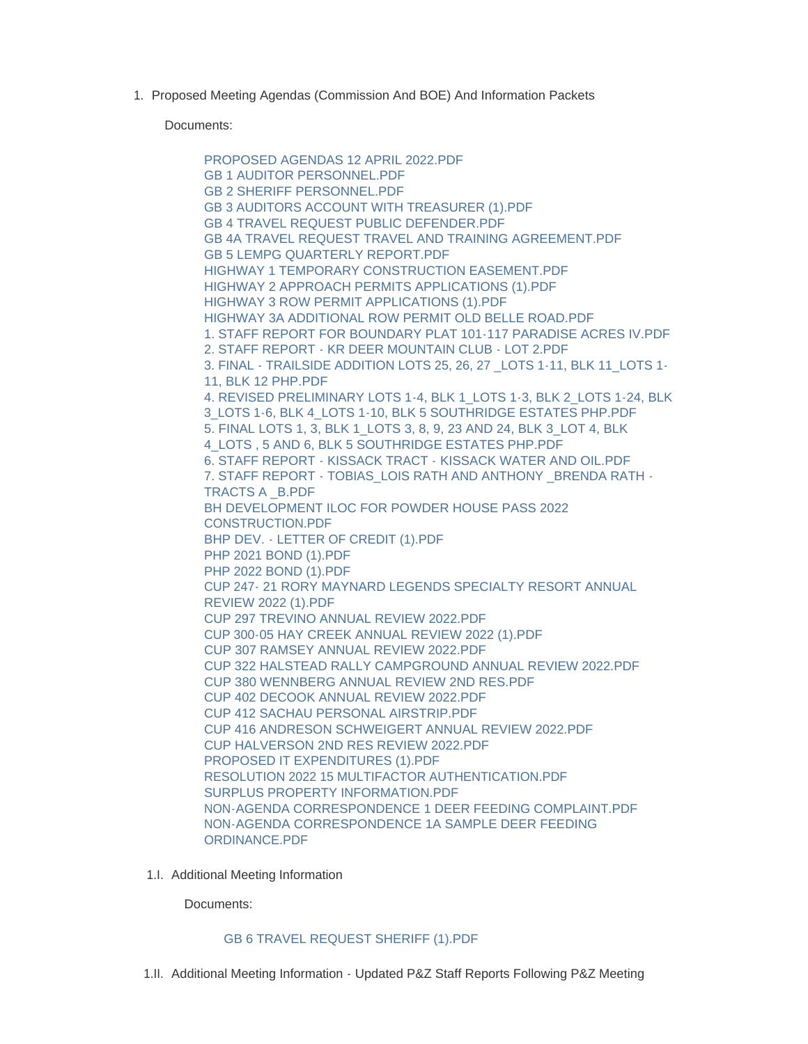1. Proposed Meeting Agendas (Commission And BOE) And Information Packets

Documents:

[PROPOSED AGENDAS 12 APRIL 2022.PDF](https://www.lawrence.sd.us/AgendaCenter/ViewFile/Item/609?fileID=7917) [GB 1 AUDITOR PERSONNEL.PDF](https://www.lawrence.sd.us/AgendaCenter/ViewFile/Item/609?fileID=7883) [GB 2 SHERIFF PERSONNEL.PDF](https://www.lawrence.sd.us/AgendaCenter/ViewFile/Item/609?fileID=7884) [GB 3 AUDITORS ACCOUNT WITH TREASURER \(1\).PDF](https://www.lawrence.sd.us/AgendaCenter/ViewFile/Item/609?fileID=7885) [GB 4 TRAVEL REQUEST PUBLIC DEFENDER.PDF](https://www.lawrence.sd.us/AgendaCenter/ViewFile/Item/609?fileID=7886) [GB 4A TRAVEL REQUEST TRAVEL AND TRAINING AGREEMENT.PDF](https://www.lawrence.sd.us/AgendaCenter/ViewFile/Item/609?fileID=7887) [GB 5 LEMPG QUARTERLY REPORT.PDF](https://www.lawrence.sd.us/AgendaCenter/ViewFile/Item/609?fileID=7914) [HIGHWAY 1 TEMPORARY CONSTRUCTION EASEMENT.PDF](https://www.lawrence.sd.us/AgendaCenter/ViewFile/Item/609?fileID=7888) [HIGHWAY 2 APPROACH PERMITS APPLICATIONS \(1\).PDF](https://www.lawrence.sd.us/AgendaCenter/ViewFile/Item/609?fileID=7915) [HIGHWAY 3 ROW PERMIT APPLICATIONS \(1\).PDF](https://www.lawrence.sd.us/AgendaCenter/ViewFile/Item/609?fileID=7916) [HIGHWAY 3A ADDITIONAL ROW PERMIT OLD BELLE ROAD.PDF](https://www.lawrence.sd.us/AgendaCenter/ViewFile/Item/609?fileID=7918) [1. STAFF REPORT FOR BOUNDARY PLAT 101-117 PARADISE ACRES IV.PDF](https://www.lawrence.sd.us/AgendaCenter/ViewFile/Item/609?fileID=7889) [2. STAFF REPORT - KR DEER MOUNTAIN CLUB - LOT 2.PDF](https://www.lawrence.sd.us/AgendaCenter/ViewFile/Item/609?fileID=7890) [3. FINAL - TRAILSIDE ADDITION LOTS 25, 26, 27 \\_LOTS 1-11, BLK 11\\_LOTS 1-](https://www.lawrence.sd.us/AgendaCenter/ViewFile/Item/609?fileID=7891) 11, BLK 12 PHP.PDF [4. REVISED PRELIMINARY LOTS 1-4, BLK 1\\_LOTS 1-3, BLK 2\\_LOTS 1-24, BLK](https://www.lawrence.sd.us/AgendaCenter/ViewFile/Item/609?fileID=7892)  3\_LOTS 1-6, BLK 4\_LOTS 1-10, BLK 5 SOUTHRIDGE ESTATES PHP.PDF [5. FINAL LOTS 1, 3, BLK 1\\_LOTS 3, 8, 9, 23 AND 24, BLK 3\\_LOT 4, BLK](https://www.lawrence.sd.us/AgendaCenter/ViewFile/Item/609?fileID=7893)  4\_LOTS , 5 AND 6, BLK 5 SOUTHRIDGE ESTATES PHP.PDF [6. STAFF REPORT - KISSACK TRACT - KISSACK WATER AND OIL.PDF](https://www.lawrence.sd.us/AgendaCenter/ViewFile/Item/609?fileID=7894) [7. STAFF REPORT - TOBIAS\\_LOIS RATH AND ANTHONY \\_BRENDA RATH -](https://www.lawrence.sd.us/AgendaCenter/ViewFile/Item/609?fileID=7895) TRACTS A \_B.PDF [BH DEVELOPMENT ILOC FOR POWDER HOUSE PASS 2022](https://www.lawrence.sd.us/AgendaCenter/ViewFile/Item/609?fileID=7896)  CONSTRUCTION.PDF [BHP DEV. - LETTER OF CREDIT \(1\).PDF](https://www.lawrence.sd.us/AgendaCenter/ViewFile/Item/609?fileID=7897) [PHP 2021 BOND \(1\).PDF](https://www.lawrence.sd.us/AgendaCenter/ViewFile/Item/609?fileID=7898) [PHP 2022 BOND \(1\).PDF](https://www.lawrence.sd.us/AgendaCenter/ViewFile/Item/609?fileID=7899) [CUP 247- 21 RORY MAYNARD LEGENDS SPECIALTY RESORT ANNUAL](https://www.lawrence.sd.us/AgendaCenter/ViewFile/Item/609?fileID=7900)  REVIEW 2022 (1).PDF [CUP 297 TREVINO ANNUAL REVIEW 2022.PDF](https://www.lawrence.sd.us/AgendaCenter/ViewFile/Item/609?fileID=7901) [CUP 300-05 HAY CREEK ANNUAL REVIEW 2022 \(1\).PDF](https://www.lawrence.sd.us/AgendaCenter/ViewFile/Item/609?fileID=7902) [CUP 307 RAMSEY ANNUAL REVIEW 2022.PDF](https://www.lawrence.sd.us/AgendaCenter/ViewFile/Item/609?fileID=7903) [CUP 322 HALSTEAD RALLY CAMPGROUND ANNUAL REVIEW 2022.PDF](https://www.lawrence.sd.us/AgendaCenter/ViewFile/Item/609?fileID=7904) [CUP 380 WENNBERG ANNUAL REVIEW 2ND RES.PDF](https://www.lawrence.sd.us/AgendaCenter/ViewFile/Item/609?fileID=7905) [CUP 402 DECOOK ANNUAL REVIEW 2022.PDF](https://www.lawrence.sd.us/AgendaCenter/ViewFile/Item/609?fileID=7906) [CUP 412 SACHAU PERSONAL AIRSTRIP.PDF](https://www.lawrence.sd.us/AgendaCenter/ViewFile/Item/609?fileID=7907) [CUP 416 ANDRESON SCHWEIGERT ANNUAL REVIEW 2022.PDF](https://www.lawrence.sd.us/AgendaCenter/ViewFile/Item/609?fileID=7908) [CUP HALVERSON 2ND RES REVIEW 2022.PDF](https://www.lawrence.sd.us/AgendaCenter/ViewFile/Item/609?fileID=7909) [PROPOSED IT EXPENDITURES \(1\).PDF](https://www.lawrence.sd.us/AgendaCenter/ViewFile/Item/609?fileID=7910) [RESOLUTION 2022 15 MULTIFACTOR AUTHENTICATION.PDF](https://www.lawrence.sd.us/AgendaCenter/ViewFile/Item/609?fileID=7919) [SURPLUS PROPERTY INFORMATION.PDF](https://www.lawrence.sd.us/AgendaCenter/ViewFile/Item/609?fileID=7911) NON-AGENDA CORRESPONDENCE 1 DEER FEEDING COMPLAINT PDF [NON-AGENDA CORRESPONDENCE 1A SAMPLE DEER FEEDING](https://www.lawrence.sd.us/AgendaCenter/ViewFile/Item/609?fileID=7913)  ORDINANCE.PDF

1.I. Additional Meeting Information

Documents:

## [GB 6 TRAVEL REQUEST SHERIFF \(1\).PDF](https://www.lawrence.sd.us/AgendaCenter/ViewFile/Item/613?fileID=7934)

1.II. Additional Meeting Information - Updated P&Z Staff Reports Following P&Z Meeting